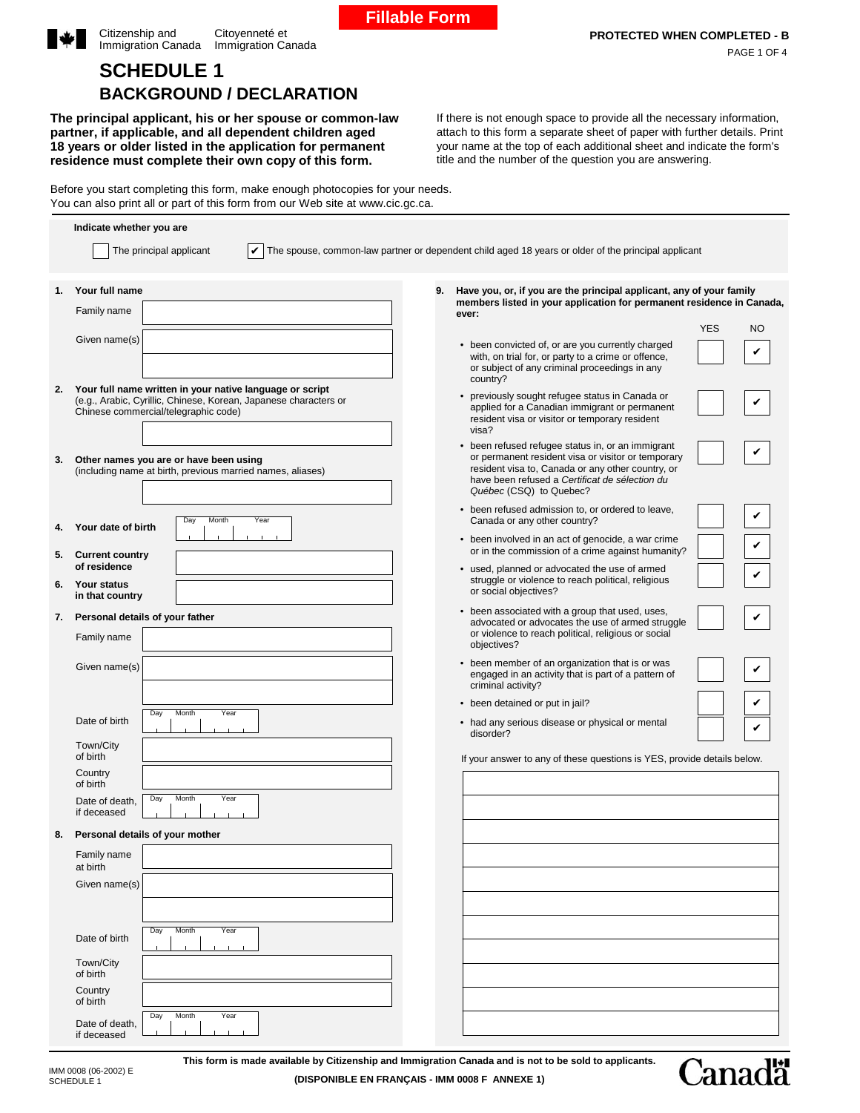|  | <b>BACKGROUND / DECLARATION</b>                                                                                     |  |
|--|---------------------------------------------------------------------------------------------------------------------|--|
|  | The principal applicant, his or her spouse or common-law<br>partner, if applicable, and all dependent children aged |  |

**SCHEDULE 1**

Citizenship and Immigration Canada

**18 years or older listed in the application for permanent residence must complete their own copy of this form.**

If there is not enough space to provide all the necessary information, attach to this form a separate sheet of paper with further details. Print your name at the top of each additional sheet and indicate the form's title and the number of the question you are answering.

Before you start completing this form, make enough photocopies for your needs. You can also print all or part of this form from our Web site at www.cic.gc.ca.

Citoyenneté et Immigration Canada

|    | Indicate whether you are                                                                                                                                                                       |    |                                                                                                                                                                                                                                           |  |
|----|------------------------------------------------------------------------------------------------------------------------------------------------------------------------------------------------|----|-------------------------------------------------------------------------------------------------------------------------------------------------------------------------------------------------------------------------------------------|--|
|    | The principal applicant                                                                                                                                                                        |    | The spouse, common-law partner or dependent child aged 18 years or older of the principal applicant                                                                                                                                       |  |
| 1. | Your full name                                                                                                                                                                                 | 9. | Have you, or, if you are the principal applicant, any of your family                                                                                                                                                                      |  |
|    | Family name                                                                                                                                                                                    |    | members listed in your application for permanent residence in Canada,<br>ever:<br><b>YES</b><br><b>NO</b>                                                                                                                                 |  |
|    | Given name(s)                                                                                                                                                                                  |    | • been convicted of, or are you currently charged<br>with, on trial for, or party to a crime or offence,<br>or subject of any criminal proceedings in any<br>country?                                                                     |  |
|    | 2. Your full name written in your native language or script<br>(e.g., Arabic, Cyrillic, Chinese, Korean, Japanese characters or<br>Chinese commercial/telegraphic code)                        |    | • previously sought refugee status in Canada or<br>applied for a Canadian immigrant or permanent<br>resident visa or visitor or temporary resident<br>visa?                                                                               |  |
| 3. | Other names you are or have been using<br>(including name at birth, previous married names, aliases)                                                                                           |    | • been refused refugee status in, or an immigrant<br>or permanent resident visa or visitor or temporary<br>resident visa to, Canada or any other country, or<br>have been refused a Certificat de sélection du<br>Québec (CSQ) to Quebec? |  |
| 4. | Day<br>Month<br>Year<br>Your date of birth                                                                                                                                                     |    | • been refused admission to, or ordered to leave,<br>Canada or any other country?                                                                                                                                                         |  |
| 5. | <b>Current country</b>                                                                                                                                                                         |    | • been involved in an act of genocide, a war crime<br>or in the commission of a crime against humanity?                                                                                                                                   |  |
|    | of residence<br>6. Your status<br>in that country                                                                                                                                              |    | • used, planned or advocated the use of armed<br>struggle or violence to reach political, religious<br>or social objectives?                                                                                                              |  |
| 7. | Personal details of your father                                                                                                                                                                |    | • been associated with a group that used, uses,                                                                                                                                                                                           |  |
|    | Family name                                                                                                                                                                                    |    | advocated or advocates the use of armed struggle<br>or violence to reach political, religious or social<br>objectives?                                                                                                                    |  |
|    | Given name(s)                                                                                                                                                                                  |    | • been member of an organization that is or was<br>engaged in an activity that is part of a pattern of<br>criminal activity?                                                                                                              |  |
|    | Month<br>Day<br>Year                                                                                                                                                                           |    | • been detained or put in jail?                                                                                                                                                                                                           |  |
|    | Date of birth<br>Town/City                                                                                                                                                                     |    | • had any serious disease or physical or mental<br>disorder?                                                                                                                                                                              |  |
|    | of birth                                                                                                                                                                                       |    | If your answer to any of these questions is YES, provide details below.                                                                                                                                                                   |  |
|    | Country<br>of birth                                                                                                                                                                            |    |                                                                                                                                                                                                                                           |  |
|    | Day<br>Month<br>Year<br>Date of death,<br>if deceased                                                                                                                                          |    |                                                                                                                                                                                                                                           |  |
| 8. | Personal details of your mother                                                                                                                                                                |    |                                                                                                                                                                                                                                           |  |
|    | Family name<br>at birth                                                                                                                                                                        |    |                                                                                                                                                                                                                                           |  |
|    | Given name(s)                                                                                                                                                                                  |    |                                                                                                                                                                                                                                           |  |
|    | Month<br>Day<br>Year<br>Date of birth<br>$\mathbf{L}$                                                                                                                                          |    |                                                                                                                                                                                                                                           |  |
|    | Town/City<br>of birth                                                                                                                                                                          |    |                                                                                                                                                                                                                                           |  |
|    | Country<br>of birth                                                                                                                                                                            |    |                                                                                                                                                                                                                                           |  |
|    | Day<br>Month<br>Year<br>Date of death,<br>if deceased                                                                                                                                          |    |                                                                                                                                                                                                                                           |  |
|    | This form is made available by Citizenship and Immigration Canada and is not to be sold to applicants.<br>IMM 0008 (06-2002) E<br>(DISPONIBLE EN FRANÇAIS - IMM 0008 F ANNEXE 1)<br>SCHEDULE 1 |    | <b>Canadä</b>                                                                                                                                                                                                                             |  |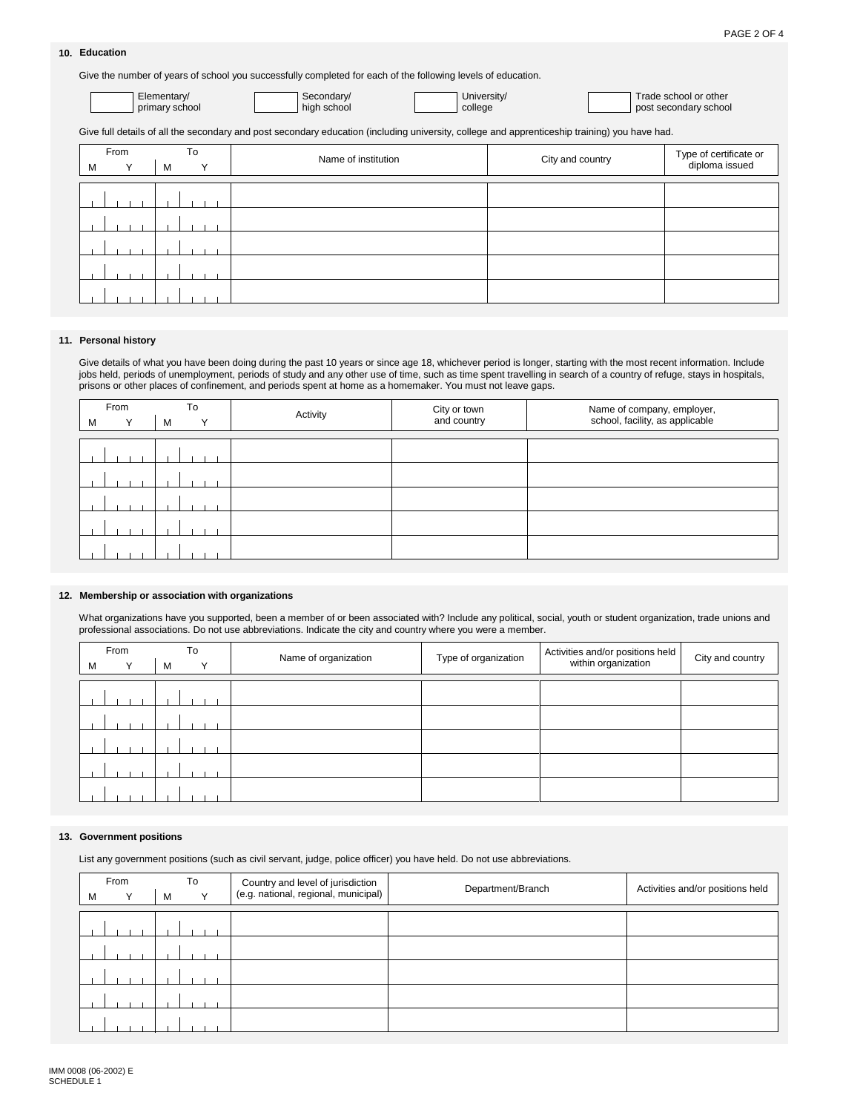### **Education 10.**

Give the number of years of school you successfully completed for each of the following levels of education.

| Elementary/    | Secondary/  |
|----------------|-------------|
| primary school | high school |

University/ college

Trade school or other post secondary school

Give full details of all the secondary and post secondary education (including university, college and apprenticeship training) you have had.

| From             | To                | Name of institution | City and country | Type of certificate or<br>diploma issued |
|------------------|-------------------|---------------------|------------------|------------------------------------------|
| М<br>$\check{ }$ | м<br>$\checkmark$ |                     |                  |                                          |
|                  |                   |                     |                  |                                          |
|                  |                   |                     |                  |                                          |
|                  |                   |                     |                  |                                          |
|                  |                   |                     |                  |                                          |
|                  |                   |                     |                  |                                          |

### **Personal history 11.**

Give details of what you have been doing during the past 10 years or since age 18, whichever period is longer, starting with the most recent information. Include jobs held, periods of unemployment, periods of study and any other use of time, such as time spent travelling in search of a country of refuge, stays in hospitals, prisons or other places of confinement, and periods spent at home as a homemaker. You must not leave gaps.

|   | From | To | Activity | City or town | Name of company, employer,<br>school, facility, as applicable |
|---|------|----|----------|--------------|---------------------------------------------------------------|
| M |      | M  |          | and country  |                                                               |
|   |      |    |          |              |                                                               |
|   |      |    |          |              |                                                               |
|   |      |    |          |              |                                                               |
|   |      |    |          |              |                                                               |
|   |      |    |          |              |                                                               |
|   |      |    |          |              |                                                               |

#### **Membership or association with organizations 12.**

What organizations have you supported, been a member of or been associated with? Include any political, social, youth or student organization, trade unions and professional associations. Do not use abbreviations. Indicate the city and country where you were a member.

|   | From         |   | To           | Name of organization | Type of organization | Activities and/or positions held | City and country |
|---|--------------|---|--------------|----------------------|----------------------|----------------------------------|------------------|
| м | $\checkmark$ | м | $\checkmark$ |                      |                      | within organization              |                  |
|   |              |   |              |                      |                      |                                  |                  |
|   |              |   |              |                      |                      |                                  |                  |
|   |              |   |              |                      |                      |                                  |                  |
|   |              |   |              |                      |                      |                                  |                  |
|   |              |   |              |                      |                      |                                  |                  |
|   |              |   |              |                      |                      |                                  |                  |
|   |              |   |              |                      |                      |                                  |                  |

#### **Government positions 13.**

List any government positions (such as civil servant, judge, police officer) you have held. Do not use abbreviations.

|   | From |   | To |              | Country and level of jurisdiction<br>(e.g. national, regional, municipal) | Department/Branch | Activities and/or positions held |
|---|------|---|----|--------------|---------------------------------------------------------------------------|-------------------|----------------------------------|
| M |      | м |    | $\checkmark$ |                                                                           |                   |                                  |
|   |      |   |    |              |                                                                           |                   |                                  |
|   |      |   |    |              |                                                                           |                   |                                  |
|   |      |   |    |              |                                                                           |                   |                                  |
|   |      |   |    |              |                                                                           |                   |                                  |
|   |      |   |    |              |                                                                           |                   |                                  |
|   |      |   |    |              |                                                                           |                   |                                  |
|   |      |   |    |              |                                                                           |                   |                                  |
|   |      |   |    |              |                                                                           |                   |                                  |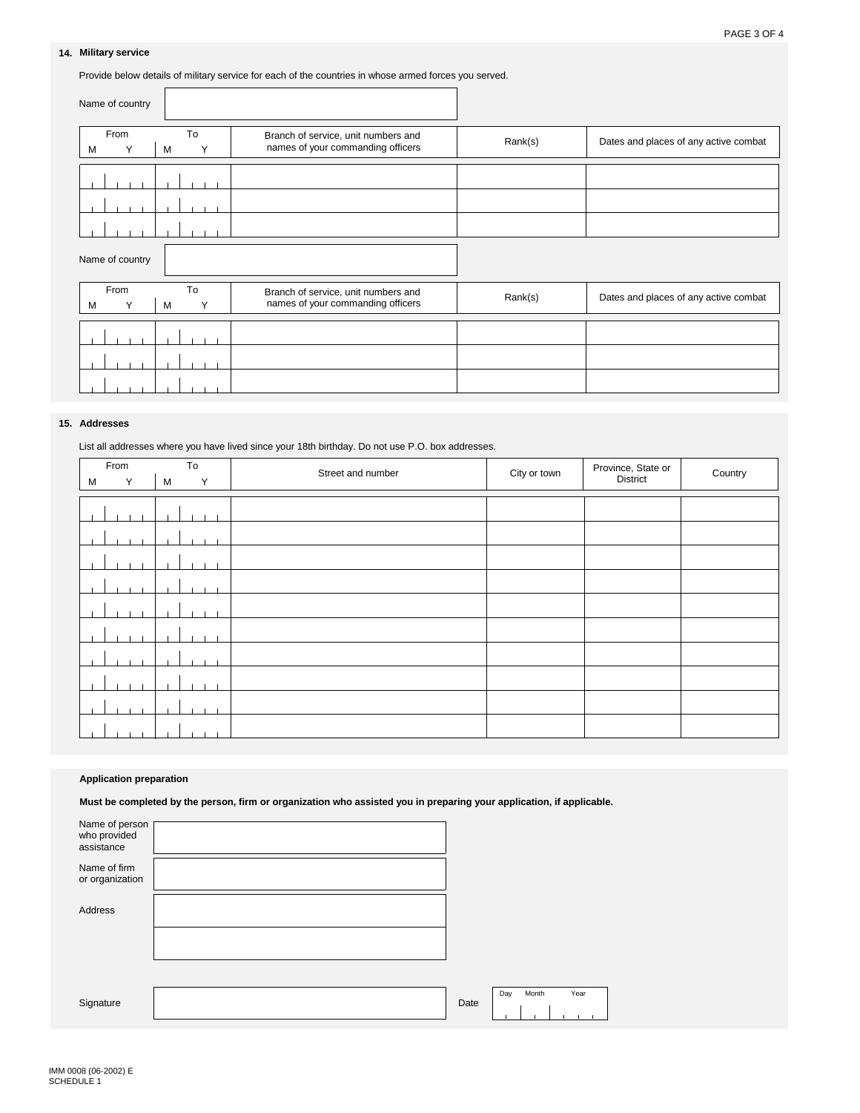# **14. Military service**

Provide below details of military service for each of the countries in whose armed forces you served.

| Name of country |              |                                                                          |         |                                       |
|-----------------|--------------|--------------------------------------------------------------------------|---------|---------------------------------------|
| From<br>M       | To<br>M<br>Υ | Branch of service, unit numbers and<br>names of your commanding officers | Rank(s) | Dates and places of any active combat |
|                 |              |                                                                          |         |                                       |
|                 |              |                                                                          |         |                                       |
|                 |              |                                                                          |         |                                       |
| Name of country |              |                                                                          |         |                                       |
| From<br>M       | To<br>M<br>Υ | Branch of service, unit numbers and<br>names of your commanding officers | Rank(s) | Dates and places of any active combat |
|                 |              |                                                                          |         |                                       |
|                 |              |                                                                          |         |                                       |
|                 |              |                                                                          |         |                                       |

### **15. Addresses**

List all addresses where you have lived since your 18th birthday. Do not use P.O. box addresses.

| From   | To     | Street and number | City or town | Province, State or | Country |
|--------|--------|-------------------|--------------|--------------------|---------|
| M<br>Y | M<br>Y |                   |              | District           |         |
|        |        |                   |              |                    |         |
|        |        |                   |              |                    |         |
|        |        |                   |              |                    |         |
|        |        |                   |              |                    |         |
|        |        |                   |              |                    |         |
|        |        |                   |              |                    |         |
|        |        |                   |              |                    |         |
|        |        |                   |              |                    |         |
|        |        |                   |              |                    |         |
|        |        |                   |              |                    |         |
|        |        |                   |              |                    |         |

## **Application preparation**

**Must be completed by the person, firm or organization who assisted you in preparing your application, if applicable.**

| Name of person<br>who provided<br>assistance |  |
|----------------------------------------------|--|
| Name of firm<br>or organization              |  |
| Address                                      |  |
|                                              |  |
|                                              |  |
| Signature                                    |  |

|             | Dav | Month | Year |
|-------------|-----|-------|------|
| <b>Date</b> |     |       |      |